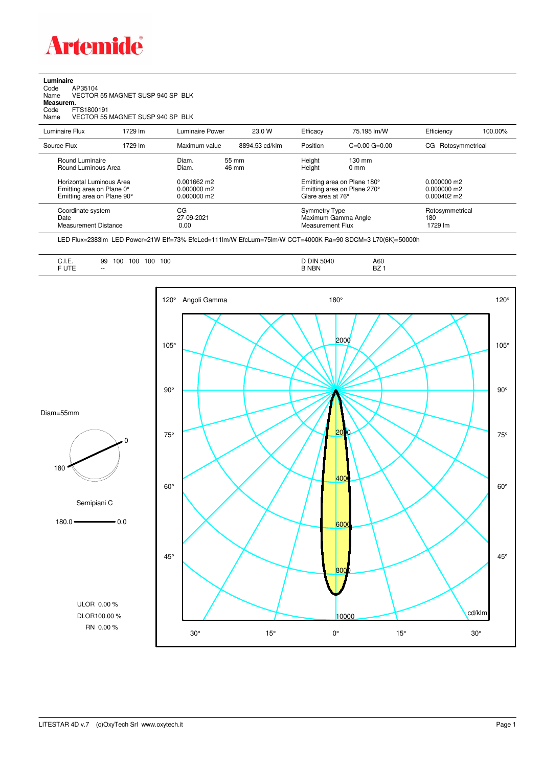

## **Luminaire**<br>Code /<br>Name \ Code AP35104 Name VECTOR 55 MAGNET SUSP 940 SP BLK **Measurem.** Code FTS1800191 Name VECTOR 55 MAGNET SUSP 940 SP BLK

| Luminaire Flux                                                                      | 1729 lm | Luminaire Power                                 | 23.0 W         | Efficacy          | 75.195 lm/W                                                | Efficiency                                             | 100.00%         |
|-------------------------------------------------------------------------------------|---------|-------------------------------------------------|----------------|-------------------|------------------------------------------------------------|--------------------------------------------------------|-----------------|
| Source Flux                                                                         | 1729 lm | Maximum value                                   | 8894.53 cd/klm | Position          | $C=0.00$ $G=0.00$                                          | CG Rotosymmetrical                                     |                 |
| Round Luminaire<br>Round Luminous Area                                              |         | Diam.<br>Diam.                                  | 55 mm<br>46 mm | Height<br>Height  | $130 \text{ mm}$<br>$0 \text{ mm}$                         |                                                        |                 |
| Horizontal Luminous Area<br>Emitting area on Plane 0°<br>Emitting area on Plane 90° |         | $0.001662$ m2<br>$0.000000$ m2<br>$0.000000$ m2 |                | Glare area at 76° | Emitting area on Plane 180°<br>Emitting area on Plane 270° | $0.000000$ m2<br>$0.000000$ m2<br>$0.000402 \text{ m}$ |                 |
| Coordinate system<br>Date<br><b>Measurement Distance</b>                            |         | CG<br>27-09-2021<br>0.00                        |                |                   | Symmetry Type<br>Maximum Gamma Angle<br>Measurement Flux   |                                                        | Rotosymmetrical |

LED Flux=2383lm LED Power=21W Eff=73% EfcLed=111lm/W EfcLum=75lm/W CCT=4000K Ra=90 SDCM=3 L70(6K)=50000h